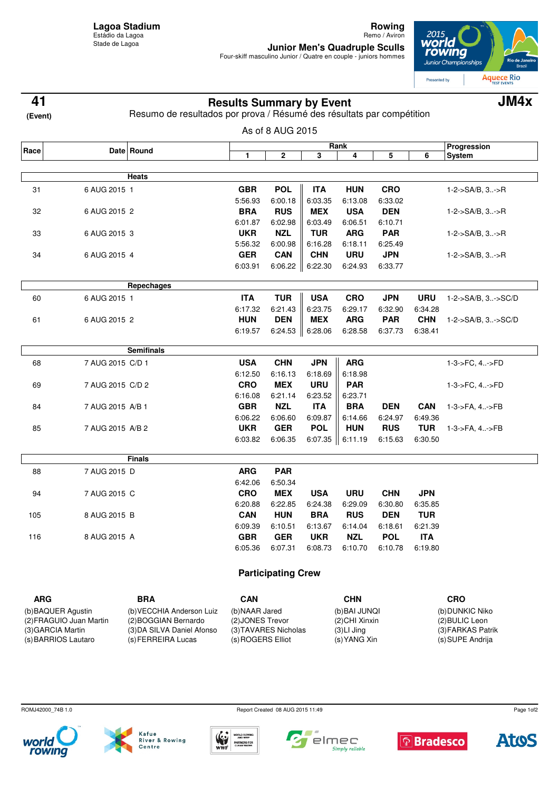**Rowing** Remo / Aviron

**Junior Men's Quadruple Sculls** Four-skiff masculino Junior / Quatre en couple - juniors hommes



**Results Summary by Event 41 JM4x**

| (Event)                 |                  | Resumo de resultados por prova / Résumé des résultats par compétition |                  |                           |                |                       |            |                                   |                             |  |
|-------------------------|------------------|-----------------------------------------------------------------------|------------------|---------------------------|----------------|-----------------------|------------|-----------------------------------|-----------------------------|--|
|                         |                  |                                                                       |                  | As of 8 AUG 2015          |                |                       |            |                                   |                             |  |
|                         |                  |                                                                       | Rank             |                           |                |                       |            |                                   | Progression                 |  |
| Race                    |                  | Date Round                                                            | 1                | 2                         | 3              | 4                     | 5          | 6                                 | <b>System</b>               |  |
|                         |                  | Heats                                                                 |                  |                           |                |                       |            |                                   |                             |  |
|                         |                  |                                                                       | <b>GBR</b>       | <b>POL</b>                | <b>ITA</b>     |                       | <b>CRO</b> |                                   |                             |  |
| 31                      | 6 AUG 2015 1     |                                                                       | 5:56.93          | 6:00.18                   | 6:03.35        | <b>HUN</b><br>6:13.08 | 6:33.02    |                                   | 1-2->SA/B, 3->R             |  |
| 32                      | 6 AUG 2015 2     |                                                                       | <b>BRA</b>       | <b>RUS</b>                | <b>MEX</b>     | <b>USA</b>            | <b>DEN</b> |                                   | $1 - 2 - S A/B$ , $3 - S R$ |  |
|                         |                  |                                                                       | 6:01.87          | 6:02.98                   | 6:03.49        | 6:06.51               | 6:10.71    |                                   |                             |  |
| 33                      | 6 AUG 2015 3     |                                                                       | <b>UKR</b>       | <b>NZL</b>                | <b>TUR</b>     | <b>ARG</b>            | <b>PAR</b> |                                   | 1-2->SA/B, 3->R             |  |
|                         |                  |                                                                       | 5:56.32          | 6:00.98                   | 6:16.28        | 6:18.11               | 6:25.49    |                                   |                             |  |
| 34                      | 6 AUG 2015 4     |                                                                       | <b>GER</b>       | <b>CAN</b>                | <b>CHN</b>     | <b>URU</b>            | <b>JPN</b> |                                   | 1-2->SA/B, 3->R             |  |
|                         |                  |                                                                       | 6:03.91          | 6:06.22                   | 6:22.30        | 6:24.93               | 6:33.77    |                                   |                             |  |
|                         |                  |                                                                       |                  |                           |                |                       |            |                                   |                             |  |
|                         |                  | Repechages                                                            |                  |                           |                |                       |            |                                   |                             |  |
| 60                      | 6 AUG 2015 1     |                                                                       | <b>ITA</b>       | <b>TUR</b>                | <b>USA</b>     | <b>CRO</b>            | <b>JPN</b> | <b>URU</b>                        | 1-2->SA/B, 3->SC/D          |  |
|                         |                  |                                                                       | 6:17.32          | 6:21.43                   | 6:23.75        | 6:29.17               | 6:32.90    | 6:34.28                           |                             |  |
| 61                      | 6 AUG 2015 2     |                                                                       | <b>HUN</b>       | <b>DEN</b>                | <b>MEX</b>     | <b>ARG</b>            | <b>PAR</b> | <b>CHN</b>                        | 1-2->SA/B, 3->SC/D          |  |
|                         |                  |                                                                       | 6:19.57          | 6:24.53                   | 6:28.06        | 6:28.58               | 6:37.73    | 6:38.41                           |                             |  |
|                         |                  | <b>Semifinals</b>                                                     |                  |                           |                |                       |            |                                   |                             |  |
| 68                      | 7 AUG 2015 C/D 1 |                                                                       | <b>USA</b>       | <b>CHN</b>                | <b>JPN</b>     | <b>ARG</b>            |            |                                   | 1-3->FC, 4->FD              |  |
|                         |                  |                                                                       | 6:12.50          | 6:16.13                   | 6:18.69        | 6:18.98               |            |                                   |                             |  |
| 69                      | 7 AUG 2015 C/D 2 |                                                                       | <b>CRO</b>       | <b>MEX</b>                | <b>URU</b>     | <b>PAR</b>            |            |                                   | 1-3->FC, 4->FD              |  |
|                         |                  |                                                                       | 6:16.08          | 6:21.14                   | 6:23.52        | 6:23.71               |            |                                   |                             |  |
| 84                      | 7 AUG 2015 A/B 1 |                                                                       | <b>GBR</b>       | <b>NZL</b>                | <b>ITA</b>     | <b>BRA</b>            | <b>DEN</b> | <b>CAN</b>                        | 1-3->FA, 4->FB              |  |
|                         |                  |                                                                       | 6:06.22          | 6:06.60                   | 6:09.87        | 6:14.66               | 6:24.97    | 6:49.36                           |                             |  |
| 85                      | 7 AUG 2015 A/B 2 |                                                                       | <b>UKR</b>       | <b>GER</b>                | <b>POL</b>     | <b>HUN</b>            | <b>RUS</b> | <b>TUR</b>                        | 1-3->FA, 4->FB              |  |
|                         |                  |                                                                       | 6:03.82          | 6:06.35                   | 6:07.35        | 6:11.19               | 6:15.63    | 6:30.50                           |                             |  |
|                         |                  | <b>Finals</b>                                                         |                  |                           |                |                       |            |                                   |                             |  |
| 88                      | 7 AUG 2015 D     |                                                                       | <b>ARG</b>       | <b>PAR</b>                |                |                       |            |                                   |                             |  |
|                         |                  |                                                                       | 6:42.06          | 6:50.34                   |                |                       |            |                                   |                             |  |
| 94                      | 7 AUG 2015 C     |                                                                       | <b>CRO</b>       | <b>MEX</b>                | <b>USA</b>     | <b>URU</b>            | <b>CHN</b> | <b>JPN</b>                        |                             |  |
|                         |                  |                                                                       | 6:20.88          | 6:22.85                   | 6:24.38        | 6:29.09               | 6:30.80    | 6:35.85                           |                             |  |
| 105                     | 8 AUG 2015 B     |                                                                       | <b>CAN</b>       | <b>HUN</b>                | <b>BRA</b>     | <b>RUS</b>            | <b>DEN</b> | <b>TUR</b>                        |                             |  |
|                         |                  |                                                                       | 6:09.39          | 6:10.51                   | 6:13.67        | 6:14.04               | 6:18.61    | 6:21.39                           |                             |  |
| 116                     | 8 AUG 2015 A     |                                                                       | <b>GBR</b>       | <b>GER</b>                | <b>UKR</b>     | <b>NZL</b>            | <b>POL</b> | <b>ITA</b>                        |                             |  |
|                         |                  |                                                                       | 6:05.36          | 6:07.31                   | 6:08.73        | 6:10.70               | 6:10.78    | 6:19.80                           |                             |  |
|                         |                  |                                                                       |                  | <b>Participating Crew</b> |                |                       |            |                                   |                             |  |
|                         |                  |                                                                       |                  |                           |                |                       |            |                                   |                             |  |
| <b>ARG</b>              |                  | <b>BRA</b>                                                            | <b>CAN</b>       |                           |                | <b>CHN</b>            |            |                                   | <b>CRO</b>                  |  |
| (b) BAQUER Agustin      |                  | (b) VECCHIA Anderson Luiz<br>(2) BOGGIAN Bernardo                     | (b) NAAR Jared   |                           | (b) BAI JUNQI  |                       |            | (b) DUNKIC Niko<br>(2) BULIC Leon |                             |  |
| (2) FRAGUIO Juan Martin |                  |                                                                       | (2) JONES Trevor |                           | (2) CHI Xinxin |                       |            |                                   |                             |  |

ROMJ42000\_74B 1.0 Report Created 08 AUG 2015 11:49

(3) GARCIA Martin (s) BARRIOS Lautaro





(3) DA SILVA Daniel Afonso (s) FERREIRA Lucas



(3) TAVARES Nicholas (s) ROGERS Elliot



(3) LI Jing (s) YANG Xin



(3) FARKAS Patrik (s) SUPE Andrija



Page 1of2